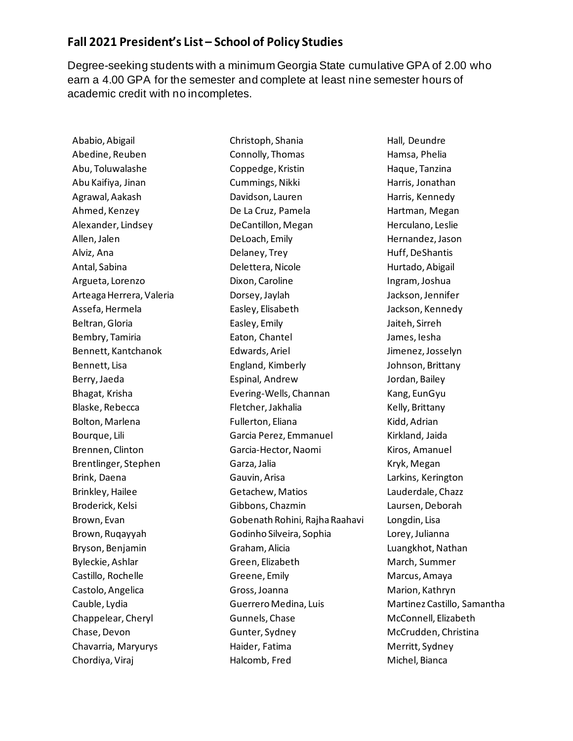## **Fall 2021 President's List – School of Policy Studies**

Degree-seeking students with a minimum Georgia State cumulative GPA of 2.00 who earn a 4.00 GPA for the semester and complete at least nine semester hours of academic credit with no incompletes.

Ababio, Abigail Abedine, Reuben Abu, Toluwalashe Abu Kaifiya, Jinan Agrawal, Aakash Ahmed, Kenzey Alexander, Lindsey Allen, Jalen Alviz, Ana Antal, Sabina Argueta, Lorenzo Arteaga Herrera, Valeria Assefa, Hermela Beltran, Gloria Bembry, Tamiria Bennett, Kantchanok Bennett, Lisa Berry, Jaeda Bhagat, Krisha Blaske, Rebecca Bolton, Marlena Bourque, Lili Brennen, Clinton Brentlinger, Stephen Brink, Daena Brinkley, Hailee Broderick, Kelsi Brown, Evan Brown, Ruqayyah Bryson, Benjamin Byleckie, Ashlar Castillo, Rochelle Castolo, Angelica Cauble, Lydia Chappelear, Cheryl Chase, Devon Chavarria, Maryurys Chordiya, Viraj

Christoph, Shania Connolly, Thomas Coppedge, Kristin Cummings, Nikki Davidson, Lauren De La Cruz, Pamela DeCantillon, Megan DeLoach, Emily Delaney, Trey Delettera, Nicole Dixon, Caroline Dorsey, Jaylah Easley, Elisabeth Easley, Emily Eaton, Chantel Edwards, Ariel England, Kimberly Espinal, Andrew Evering-Wells, Channan Fletcher, Jakhalia Fullerton, Eliana Garcia Perez, Emmanuel Garcia-Hector, Naomi Garza, Jalia Gauvin, Arisa Getachew, Matios Gibbons, Chazmin Gobenath Rohini, Rajha Raahavi Godinho Silveira, Sophia Graham, Alicia Green, Elizabeth Greene, Emily Gross, Joanna Guerrero Medina, Luis Gunnels, Chase Gunter, Sydney Haider, Fatima Halcomb, Fred

Hall, Deundre Hamsa, Phelia Haque, Tanzina Harris, Jonathan Harris, Kennedy Hartman, Megan Herculano, Leslie Hernandez, Jason Huff, DeShantis Hurtado, Abigail Ingram, Joshua Jackson, Jennifer Jackson, Kennedy Jaiteh, Sirreh James, Iesha Jimenez, Josselyn Johnson, Brittany Jordan, Bailey Kang, EunGyu Kelly, Brittany Kidd, Adrian Kirkland, Jaida Kiros, Amanuel Kryk, Megan Larkins, Kerington Lauderdale, Chazz Laursen, Deborah Longdin, Lisa Lorey, Julianna Luangkhot, Nathan March, Summer Marcus, Amaya Marion, Kathryn Martinez Castillo, Samantha McConnell, Elizabeth McCrudden, Christina Merritt, Sydney Michel, Bianca